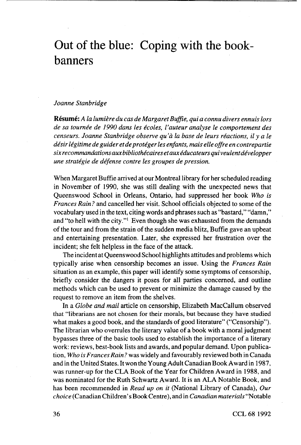## Out of the blue: Coping with the bookbanners

## *Joanne Stanbridge*

**Resume:** A *la lumiere du cas de Margaret Buffie, qui a connu divers ennuis tors de sa tournee de 1990 dans les ecoles, I'auteur analyse Ie comportement des censeurs. Joanne Stanbridge observe qu 'a la base de leurs reactions, il y ale desir legitime de guider etdeproteger les enfants, mais elle offre en contrepartie sixrecommandationsauxbibliothecairesetauxeducateursquiveulentdevelopper une strategic de defense centre les groupes de pression.*

When Margaret Buffie arrived at our Montreal library for her scheduled reading in November of 1990, she was still dealing with the unexpected news that Queenswood School in Orleans, Ontario, had suppressed her book *Who is Frances Rain?* and cancelled her visit. School officials objected to some of the vocabulary used in the text, citing words and phrases such as "bastard," "damn," and "to hell with the city."' Even though she was exhausted from the demands of the tour and from the strain of the sudden media blitz, Buffie gave an upbeat and entertaining presentation. Later, she expressed her frustration over the incident; she felt helpless in the face of the attack.

The incident at Queenswood School highlights attitudes and problems which typically arise when censorship becomes an issue. Using the *Frances Rain* situation as an example, this paper will identify some symptoms of censorship, briefly consider the dangers it poses for all parties concerned, and outline methods which can be used to prevent or minimize the damage caused by the request to remove an item from the shelves.

In a *Globe and mail* article on censorship, Elizabeth MacCallum observed that "librarians are not chosen for their morals, but because they have studied what makes a good book, and the standards of good literature" ("Censorship"). The librarian who overrules the literary value of a book with a moral judgment bypasses three of the basic tools used to establish the importance of a literary work: reviews, best-book lists and awards, and popular demand. Upon publication, *Who is Frances Rain ?* was widely and favourably reviewed both in Canada and in the United States. It won the Young Adult Canadian Book Award in 1987, was runner-up for the CLA Book of the Year for Children Award in 1988, and was nominated for the Ruth Schwartz Award. It is an ALA Notable Book, and has been recommended in *Read up on it* (National Library of Canada), *Our choice* (Canadian Children's Book Centre), and in *Canadian materials* "Notable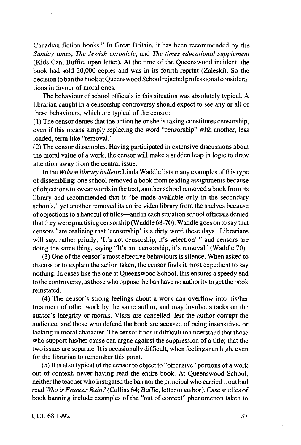Canadian fiction books." In Great Britain, it has been recommended by the *Sunday times, The Jewish chronicle,* and *The times educational supplement* (Kids Can; Buffie, open letter). At the time of the Queenswood incident, the book had sold 20,000 copies and was in its fourth reprint (Zaieski). So the decision to ban the book at Queenswood School rejected professional considerations in favour of moral ones.

The behaviour of school officials in this situation was absolutely typical. A librarian caught in a censorship controversy should expect to see any or all of these behaviours, which are typical of the censor:

(1) The censor denies that the action he or she is taking constitutes censorship, even if this means simply replacing the word "censorship" with another, less loaded, term like "removal."

(2) The censor dissembles. Having participated in extensive discussions about the moral value of a work, the censor will make a sudden leap in logic to draw attention away from the central issue.

In the *Wilson library bulletin* Linda Waddle lists many examples of this type of dissembling: one school removed a book from reading assignments because of objections to swear words in the text, another school removed a book from its library and recommended that it "be made available only in the secondary schools," yet another removed its entire video library from the shelves because of objections to a handful of titles—and in each situation school officials denied that they were practising censorship (Waddle 68-70). Waddle goes on to say that censors "are realizing that 'censorship' is a dirty word these days...Librarians will say, rather primly, 'It's not censorship, it's selection'," and censors are doing the same thing, saying "It's not censorship, it's removal" (Waddle 70).

(3) One of the censor's most effective behaviours is silence. When asked to discuss or to explain the action taken, the censor finds it most expedient to say nothing. In cases like the one at Queenswood School, this ensures a speedy end to the controversy, as those who oppose the ban have no authority to get the book reinstated.

(4) The censor's strong feelings about a work can overflow into his/her treatment of other work by the same author, and may involve attacks on the author's integrity or morals. Visits are cancelled, lest the author corrupt the audience, and those who defend the book are accused of being insensitive, or lacking in moral character. The censor finds it difficult to understand that those who support his/her cause can argue against the suppression of a title; that the two issues are separate. It is occasionally difficult, when feelings run high, even for the librarian to remember this point.

(5) It is also typical of the censor to object to "offensive" portions of a work out of context, never having read the entire book. At Queenswood School, neither the teacher who instigated the ban nor the principal who carried it out had read *Who is Frances Rain ?* (Collins 64; Buffie, letter to author). Case studies of book banning include examples of the "out of context" phenomenon taken to

CCL 68 1992 37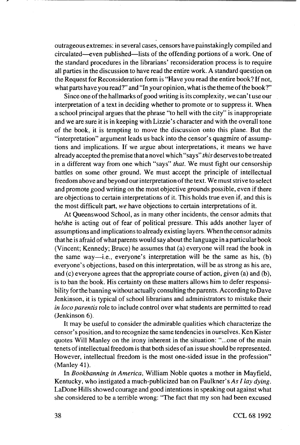outrageous extremes: in several cases, censors have painstakingly compiled and circulated—even published—lists of the offending portions of a work. One of the standard procedures in the librarians' reconsideration process is to require all parties in the discussion to have read the entire work. A standard question on the Request for Reconsideration form is "Have you read the entire book? If not, what parts have you read?" and "In your opinion, what is the theme of the book?"

Since one of the hallmarks of good writing is its complexity, we can't use our interpretation of a text in deciding whether to promote or to suppress it. When a school principal argues that the phrase "to hell with the city" is inappropriate and we are sure it is in keeping with Lizzie's character and with the overall tone of the book, it is tempting to move the discussion onto this plane. But the "interpretation" argument leads us back into the censor's quagmire of assumptions and implications. If we argue about interpretations, it means we have already accepted the premise that a novel which "says" *this* deserves to be treated in a different way from one which "says" *that.* We must fight our censorship battles on some other ground. We must accept the principle of intellectual freedom above and beyond our interpretation of the text. We must strive to select and promote good writing on the most objective grounds possible, even if there are objections to certain interpretations of it. This holds true even if, and this is the most difficult part, *we* have objections to certain interpretations of it.

At Queenswood School, as in many other incidents, the censor admits that he/she is acting out of fear of political pressure. This adds another layer of assumptions and implications to already existing layers. When the censor admits that he is afraid of what parents would say about the language in a particular book (Vincent; Kennedy; Bruce) he assumes that (a) everyone will read the book in the same way—i.e., everyone's interpretation will be the same as his, (b) everyone's objections, based on this interpretation, will be as strong as his are, and (c) everyone agrees that the appropriate course of action, given (a) and (b), is to ban the book. His certainty on these matters allows him to defer responsibility for the banning without actually consulting the parents. According to Dave Jenkinson, it is typical of school librarians and administrators to mistake their *in loco parentis* role to include control over what students are permitted to read (Jenkinson 6).

It may be useful to consider the admirable qualities which characterize the censor's position, and to recognize the same tendencies in ourselves. Ken Kister quotes Will Manley on the irony inherent in the situation: "...one of the main tenets of intellectual freedom is that both sides of an issue should be represented. However, intellectual freedom is the most one-sided issue in the profession" (Manley 41).

In *Bookbanning in America,* William Noble quotes a mother in Mayfield, Kentucky, who instigated a much-publicized ban on Faulkner's *As I lay dying.* LaDone Hills showed courage and good intentions in speaking out against what she considered to be a terrible wrong: "The fact that my son had been excused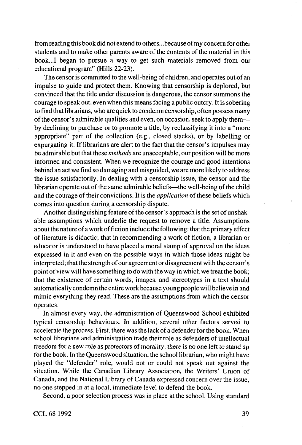from reading this book did not extend to others.. .because of my concern for other students and to make other parents aware of the contents of the material in this book...I began to pursue a way to get such materials removed from our educational program" (Hills 22-23).

The censor is committed to the well-being of children, and operates out of an impulse to guide and protect them. Knowing that censorship is deplored, but convinced that the title under discussion is dangerous, the censor summons the courage to speak out, even when this means facing a public outcry. It is sobering to find that librarians, who are quick to condemn censorship, often possess many of the censor's admirable qualities and even, on occasion, seek to apply them by declining to purchase or to promote a title, by reclassifying it into a "more appropriate" part of the collection (e.g., closed stacks), or by labelling or expurgating it. If librarians are alert to the fact that the censor's impulses may be admirable but that these *methods* are unacceptable, our position will be more informed and consistent. When we recognize the courage and good intentions behind an act we find so damaging and misguided, we are more likely to address the issue satisfactorily. In dealing with a censorship issue, the censor and the librarian operate out of the same admirable beliefs—the well-being of the child and the courage of their convictions. It is the *application* of these beliefs which comes into question during a censorship dispute.

Another distinguishing feature of the censor's approach is the set of unshakable assumptions which underlie the request to remove a title. Assumptions about the nature of a work of fiction include the following: that the primary effect of literature is didactic; that in recommending a work of fiction, a librarian or educator is understood to have placed a moral stamp of approval on the ideas expressed in it and even on the possible ways in which those ideas might be interpreted; that the strength of our agreement or disagreement with the censor's point of view will have something to do with the way in which we treat the book; that the existence of certain words, images, and stereotypes in a text should automatically condemn the entire work because young people will believe in and mimic everything they read. These are the assumptions from which the censor operates.

In almost every way, the administration of Queenswood School exhibited typical censorship behaviours. In addition, several other factors served to accelerate the process. First, there was the lack of a defender for the book. When school librarians and administration trade their role as defenders of intellectual freedom for a new role as protectors of morality, there is no one left to stand up for the book. In the Queenswood situation, the school librarian, who might have played the "defender" role, would not or could not speak out against the situation. While the Canadian Library Association, the Writers' Union of Canada, and the National Library of Canada expressed concern over the issue, no one stepped in at a local, immediate level to defend the book.

Second, a poor selection process was in place at the school. Using standard

CCL 68 1992 39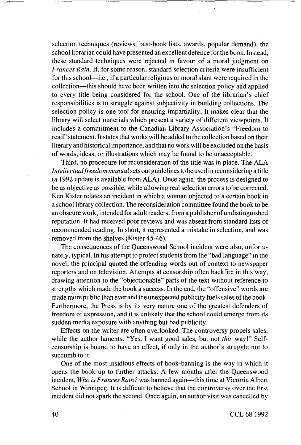selection techniques (reviews, best-book lists, awards, popular demand), the school librarian could have presented an excellent defence for the book. Instead, these standard techniques were rejected in favour of a moral judgment on *Frances Rain.* If, for some reason, standard selection criteria were insufficient for this school—i.e., if a particular religious or moral slant were required in the collection—this should have been written into the selection policy and applied to every title being considered for the school. One of the librarian's chief responsibilities is to struggle against subjectivity in building collections. The selection policy is one tool for ensuring impartiality. It makes clear that the library will select materials which present a variety of different viewpoints. It includes a commitment to the Canadian Library Association's "Freedom to read" statement. It states that works will be added to the collection based on their literary and historical importance, and that no work will be excluded on the basis of words, ideas, or illustrations which may be found to be unacceptable.

Third, no procedure for reconsideration of the title was in place. The ALA *Intellectual freedom manual* sets out guidelines to be used in reconsidering a title (a 1992 update is available from ALA). Once again, the process is designed to be as objective as possible, while allowing real selection errors to be corrected. Ken Kister relates an incident in which a woman objected to a certain book in a school library collection. The reconsideration committee found the book to be an obscure work, intended for adult readers, from a publisher of undistinguished reputation. It had received poor reviews and was absent from standard lists of recommended reading. In short, it represented a mistake in selection, and was removed from the shelves (Kister 45-46).

The consequences of the Queenswood School incident were also, unfortunately, typical. In his attempt to protect students from the "bad language" in the novel, the principal quoted the offending words out of context to newspaper reporters and on television. Attempts at censorship often backfire in this way, drawing attention to the "objectionable" parts of the text without reference to strengths which made the book a success. In the end, the "offensive" words are made more public than ever and the unexpected publicity fuels sales of the book. Furthermore, the Press is by its very nature one of the greatest defenders of freedom of expression, and it is unlikely that the school could emerge from its sudden media exposure with anything but bad publicity.

Effects on the writer are often overlooked. The controversy propels sales, while the author laments, "Yes, I want good sales, but not *this* way!" Selfcensorship is bound to have an effect, if only in the author's struggle not to succumb to it.

One of the most insidious effects of book-banning is the way in which it opens the book up to further attacks. A few months after the Queenswood incident. *Who is Frances Rain ?* was banned again—this time at Victoria Albert School in Winnipeg. It is difficult to believe that the controversy over the first incident did not spark the second. Once again, an author visit was cancelled by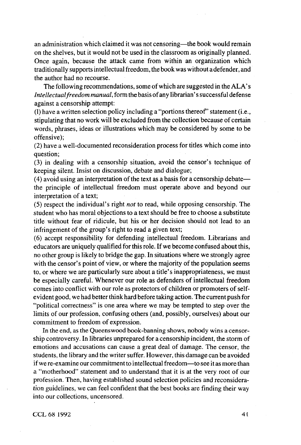an administration which claimed it was not censoring—the book would remain on the shelves, but it would not be used in the classroom as originally planned. Once again, because the attack came from within an organization which traditionally supports intellectual freedom, the book was without a defender, and the author had no recourse.

The following recommendations, some of which are suggested in the ALA's *Intellectual freedom manual,* form the basis of any librarian's successful defense against a censorship attempt:

(1) have a written selection policy including a "portions thereof" statement (i.e., stipulating that no work will be excluded from the collection because of certain words, phrases, ideas or illustrations which may be considered by some to be offensive);

(2) have a well-documented reconsideration process for titles which come into question;

(3) in dealing with a censorship situation, avoid the censor's technique of keeping silent. Insist on discussion, debate and dialogue;

(4) avoid using an interpretation of the text as a basis for a censorship debate the principle of intellectual freedom must operate above and beyond our interpretation of a text;

(5) respect the individual's right *not* to read, while opposing censorship. The student who has moral objections to a text should be free to choose a substitute title without fear of ridicule, but his or her decision should not lead to an infringement of the group's right to read a given text;

(6) accept responsibility for defending intellectual freedom. Librarians and educators are uniquely qualified for this role. If we become confused about this, no other group is likely to bridge the gap. In situations where we strongly agree with the censor's point of view, or where the majority of the population seems to, or where we are particularly sure about a title's inappropriateness, we must be especially careful. Whenever our role as defenders of intellectual freedom comes into conflict with our role as protectors of children or promoters of selfevident good, we had better think hard before taking action. The current push for "political correctness" is one area where we may be tempted to step over the limits of our profession, confusing others (and, possibly, ourselves) about our commitment to freedom of expression.

In the end, as the Queenswood book-banning shows, nobody wins a censorship controversy. In libraries unprepared for a censorship incident, the storm of emotions and accusations can cause a great deal of damage. The censor, the students, the library and the writer suffer. However, this damage can be avoided if we re-examine our commitment to intellectual freedom—to see it as more than a "motherhood" statement and to understand that it is at the very root of our profession. Then, having established sound selection policies and reconsideration guidelines, we can feel confident that the best books are finding their way into our collections, uncensored.

CCL 68 1992 41